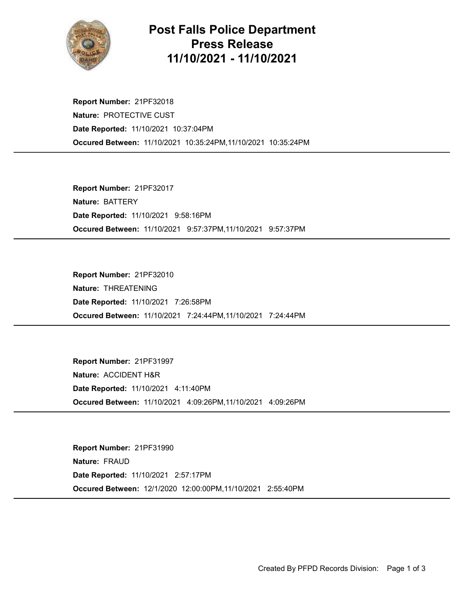

## Post Falls Police Department Press Release 11/10/2021 - 11/10/2021

Occured Between: 11/10/2021 10:35:24PM,11/10/2021 10:35:24PM Report Number: 21PF32018 Nature: PROTECTIVE CUST Date Reported: 11/10/2021 10:37:04PM

Occured Between: 11/10/2021 9:57:37PM,11/10/2021 9:57:37PM Report Number: 21PF32017 Nature: BATTERY Date Reported: 11/10/2021 9:58:16PM

Occured Between: 11/10/2021 7:24:44PM,11/10/2021 7:24:44PM Report Number: 21PF32010 Nature: THREATENING Date Reported: 11/10/2021 7:26:58PM

Occured Between: 11/10/2021 4:09:26PM,11/10/2021 4:09:26PM Report Number: 21PF31997 Nature: ACCIDENT H&R Date Reported: 11/10/2021 4:11:40PM

Occured Between: 12/1/2020 12:00:00PM,11/10/2021 2:55:40PM Report Number: 21PF31990 Nature: FRAUD Date Reported: 11/10/2021 2:57:17PM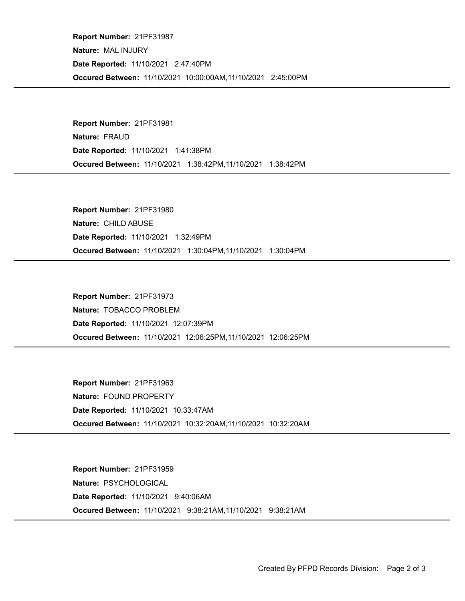Occured Between: 11/10/2021 10:00:00AM,11/10/2021 2:45:00PM Report Number: 21PF31987 Nature: MAL INJURY Date Reported: 11/10/2021 2:47:40PM

Occured Between: 11/10/2021 1:38:42PM,11/10/2021 1:38:42PM Report Number: 21PF31981 Nature: FRAUD Date Reported: 11/10/2021 1:41:38PM

Occured Between: 11/10/2021 1:30:04PM,11/10/2021 1:30:04PM Report Number: 21PF31980 Nature: CHILD ABUSE Date Reported: 11/10/2021 1:32:49PM

Occured Between: 11/10/2021 12:06:25PM,11/10/2021 12:06:25PM Report Number: 21PF31973 Nature: TOBACCO PROBLEM Date Reported: 11/10/2021 12:07:39PM

Occured Between: 11/10/2021 10:32:20AM,11/10/2021 10:32:20AM Report Number: 21PF31963 Nature: FOUND PROPERTY Date Reported: 11/10/2021 10:33:47AM

Occured Between: 11/10/2021 9:38:21AM,11/10/2021 9:38:21AM Report Number: 21PF31959 Nature: PSYCHOLOGICAL Date Reported: 11/10/2021 9:40:06AM